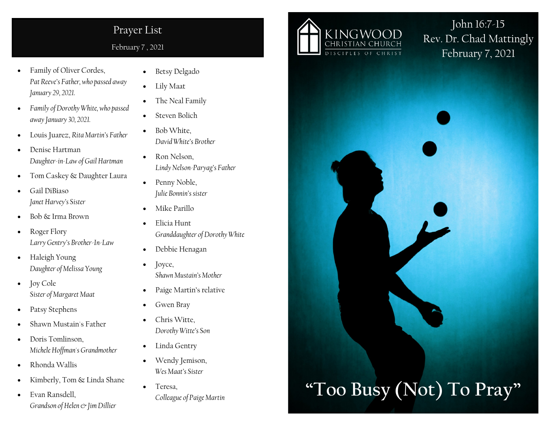## Prayer List

#### February 7 , 2021

- Family of Oliver Cordes, *Pat Reeve's Father, who passed away January 29, 2021.*
- *Family of Dorothy White, who passed away January 30, 2021.*
- Louis Juarez, *Rita Martin's Father*
- Denise Hartman *Daughter-in-Law of Gail Hartman*
- Tom Caskey & Daughter Laura
- Gail DiBiaso *Janet Harvey's Sister*
- Bob & Irma Brown
- Roger Flory *Larry Gentry's Brother-In-Law*
- Haleigh Young *Daughter of Melissa Young*
- Joy Cole *Sister of Margaret Maat*
- Patsy Stephens
- Shawn Mustain's Father
- Doris Tomlinson, *Michele Hoffman's Grandmother*
- Rhonda Wallis
- Kimberly, Tom & Linda Shane
- Evan Ransdell, *Grandson of Helen & Jim Dillier*
- Betsy Delgado
- Lily Maat
- The Neal Family
- Steven Bolich
- Bob White, *David White's Brother*
- Ron Nelson. *Lindy Nelson-Paryag's Father*
- Penny Noble, *Julie Bonnin's sister*
- Mike Parillo
- Elicia Hunt *Granddaughter of Dorothy White*
- Debbie Henagan
- **Joyce**, *Shawn Mustain's Mother*
- Paige Martin's relative
- Gwen Bray
- Chris Witte, *Dorothy Witte's Son*
- Linda Gentry
- Wendy Jemison, *Wes Maat's Sister*
- Teresa, *Colleague of Paige Martin*



## John 16:7-15 Rev. Dr. Chad Mattingly February 7, 2021

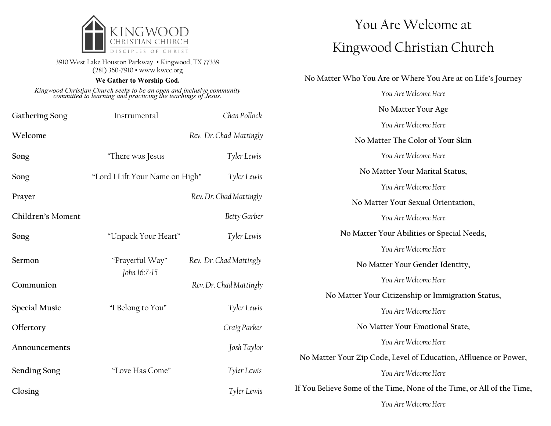

3910 West Lake Houston Parkway • Kingwood, TX 77339 (281) 360-7910 • www.kwcc.org

#### **We Gather to Worship God.**

*Kingwood Christian Church seeks to be an open and inclusive community committed to learning and practicing the teachings of Jesus.*

| Gathering Song       | Instrumental                    | Chan Pollock            |        |
|----------------------|---------------------------------|-------------------------|--------|
| Welcome              |                                 | Rev. Dr. Chad Mattingly |        |
| Song                 | "There was Jesus                | Tyler Lewis             |        |
| Song                 | "Lord I Lift Your Name on High" | Tyler Lewis             |        |
| Prayer               |                                 | Rev. Dr. Chad Mattingly |        |
| Children's Moment    |                                 | Betty Garber            |        |
| Song                 | "Unpack Your Heart"             | Tyler Lewis             |        |
| Sermon               | "Prayerful Way"<br>John 16:7-15 | Rev. Dr. Chad Mattingly |        |
| Communion            |                                 | Rev. Dr. Chad Mattingly |        |
| <b>Special Music</b> | "I Belong to You"               | Tyler Lewis             |        |
| Offertory            |                                 | Craig Parker            |        |
| Announcements        |                                 | Josh Taylor             | No N   |
| Sending Song         | "Love Has Come"                 | Tyler Lewis             |        |
| Closing              |                                 | Tyler Lewis             | If You |

# You Are Welcome at Kingwood Christian Church

**No Matter Who You Are or Where You Are at on Life's Journey**

|          | You Are Welcome Here                                                   |
|----------|------------------------------------------------------------------------|
| Pollock  | No Matter Your Age                                                     |
|          | You Are Welcome Here                                                   |
| attingly | No Matter The Color of Your Skin                                       |
| Lewis    | You Are Welcome Here                                                   |
| r Lewis  | No Matter Your Marital Status,                                         |
|          | You Are Welcome Here                                                   |
| ittingly | No Matter Your Sexual Orientation,                                     |
| Garber   | You Are Welcome Here                                                   |
| Lewis    | No Matter Your Abilities or Special Needs,                             |
| ttingly  | You Are Welcome Here                                                   |
|          | No Matter Your Gender Identity,                                        |
| ıttingly | You Are Welcome Here                                                   |
|          | No Matter Your Citizenship or Immigration Status,                      |
| r Lewis  | You Are Welcome Here                                                   |
| Parker   | No Matter Your Emotional State,                                        |
| Taylor   | You Are Welcome Here                                                   |
|          | No Matter Your Zip Code, Level of Education, Affluence or Power,       |
| r Lewis  | You Are Welcome Here                                                   |
| r Lewis  | If You Believe Some of the Time, None of the Time, or All of the Time, |
|          | You Are Welcome Here                                                   |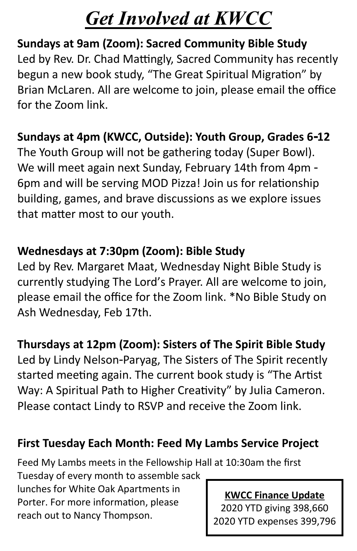## *Get Involved at KWCC*

## **Sundays at 9am (Zoom): Sacred Community Bible Study** Led by Rev. Dr. Chad Mattingly, Sacred Community has recently begun a new book study, "The Great Spiritual Migration" by Brian McLaren. All are welcome to join, please email the office for the Zoom link.

## **Sundays at 4pm (KWCC, Outside): Youth Group, Grades 6-12**

The Youth Group will not be gathering today (Super Bowl). We will meet again next Sunday, February 14th from 4pm - 6pm and will be serving MOD Pizza! Join us for relationship building, games, and brave discussions as we explore issues that matter most to our youth.

### **Wednesdays at 7:30pm (Zoom): Bible Study**

Led by Rev. Margaret Maat, Wednesday Night Bible Study is currently studying The Lord's Prayer. All are welcome to join, please email the office for the Zoom link. \*No Bible Study on Ash Wednesday, Feb 17th.

## **Thursdays at 12pm (Zoom): Sisters of The Spirit Bible Study**

Led by Lindy Nelson-Paryag, The Sisters of The Spirit recently started meeting again. The current book study is "The Artist Way: A Spiritual Path to Higher Creativity" by Julia Cameron. Please contact Lindy to RSVP and receive the Zoom link.

### **First Tuesday Each Month: Feed My Lambs Service Project**

Feed My Lambs meets in the Fellowship Hall at 10:30am the first

Tuesday of every month to assemble sack lunches for White Oak Apartments in Porter. For more information, please reach out to Nancy Thompson.

#### **KWCC Finance Update**

2020 YTD giving 398,660 2020 YTD expenses 399,796